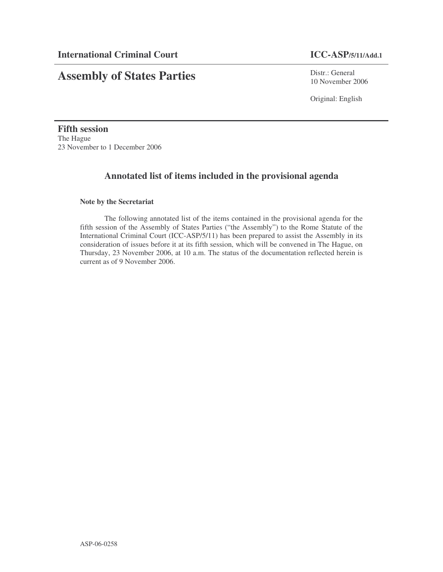# **Assembly of States Parties**

Distr.: General 10 November 2006

Original: English

**Fifth session** The Hague 23 November to 1 December 2006

# **Annotated list of items included in the provisional agenda**

# **Note by the Secretariat**

The following annotated list of the items contained in the provisional agenda for the fifth session of the Assembly of States Parties ("the Assembly") to the Rome Statute of the International Criminal Court (ICC-ASP/5/11) has been prepared to assist the Assembly in its consideration of issues before it at its fifth session, which will be convened in The Hague, on Thursday, 23 November 2006, at 10 a.m. The status of the documentation reflected herein is current as of 9 November 2006.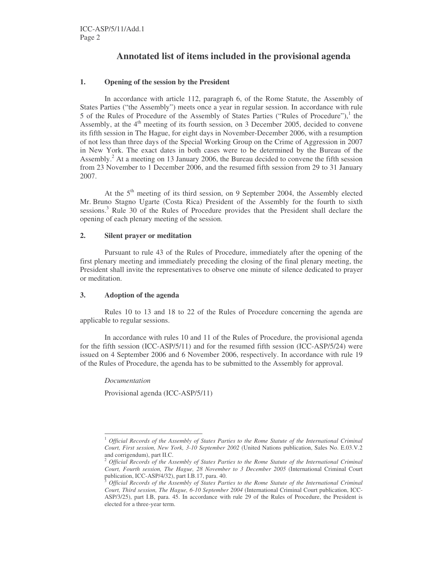# **Annotated list of items included in the provisional agenda**

# **1. Opening of the session by the President**

In accordance with article 112, paragraph 6, of the Rome Statute, the Assembly of States Parties ("the Assembly") meets once a year in regular session. In accordance with rule 5 of the Rules of Procedure of the Assembly of States Parties ("Rules of Procedure"),<sup>1</sup> the Assembly, at the  $4<sup>th</sup>$  meeting of its fourth session, on 3 December 2005, decided to convene its fifth session in The Hague, for eight days in November-December 2006, with a resumption of not less than three days of the Special Working Group on the Crime of Aggression in 2007 in New York. The exact dates in both cases were to be determined by the Bureau of the Assembly.<sup>2</sup> At a meeting on 13 January 2006, the Bureau decided to convene the fifth session from 23 November to 1 December 2006, and the resumed fifth session from 29 to 31 January 2007.

At the  $5<sup>th</sup>$  meeting of its third session, on 9 September 2004, the Assembly elected Mr. Bruno Stagno Ugarte (Costa Rica) President of the Assembly for the fourth to sixth sessions.<sup>3</sup> Rule 30 of the Rules of Procedure provides that the President shall declare the opening of each plenary meeting of the session.

# **2. Silent prayer or meditation**

Pursuant to rule 43 of the Rules of Procedure, immediately after the opening of the first plenary meeting and immediately preceding the closing of the final plenary meeting, the President shall invite the representatives to observe one minute of silence dedicated to prayer or meditation.

# **3. Adoption of the agenda**

Rules 10 to 13 and 18 to 22 of the Rules of Procedure concerning the agenda are applicable to regular sessions.

In accordance with rules 10 and 11 of the Rules of Procedure, the provisional agenda for the fifth session (ICC-ASP/5/11) and for the resumed fifth session (ICC-ASP/5/24) were issued on 4 September 2006 and 6 November 2006, respectively. In accordance with rule 19 of the Rules of Procedure, the agenda has to be submitted to the Assembly for approval.

*Documentation*

Provisional agenda (ICC-ASP/5/11)

<sup>1</sup> *Official Records of the Assembly of States Parties to the Rome Statute of the International Criminal Court, First session, New York, 3-10 September 2002* (United Nations publication, Sales No. E.03.V.2 and corrigendum), part II.C.

<sup>2</sup> *Official Records of the Assembly of States Parties to the Rome Statute of the International Criminal Court, Fourth session, The Hague, 28 November to 3 December 2005* (International Criminal Court publication, ICC-ASP/4/32), part I.B.17, para. 40.

<sup>3</sup> *Official Records of the Assembly of States Parties to the Rome Statute of the International Criminal Court, Third session, The Hague, 6-10 September 2004* (International Criminal Court publication, ICC-ASP/3/25), part I.B, para. 45. In accordance with rule 29 of the Rules of Procedure, the President is elected for a three-year term.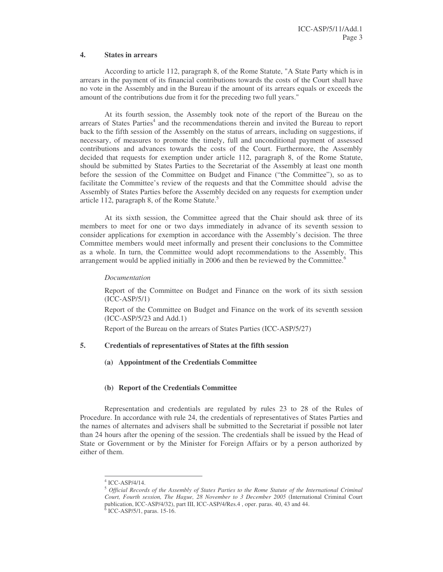# **4. States in arrears**

According to article 112, paragraph 8, of the Rome Statute, "A State Party which is in arrears in the payment of its financial contributions towards the costs of the Court shall have no vote in the Assembly and in the Bureau if the amount of its arrears equals or exceeds the amount of the contributions due from it for the preceding two full years."

At its fourth session, the Assembly took note of the report of the Bureau on the arrears of States Parties<sup>4</sup> and the recommendations therein and invited the Bureau to report back to the fifth session of the Assembly on the status of arrears, including on suggestions, if necessary, of measures to promote the timely, full and unconditional payment of assessed contributions and advances towards the costs of the Court. Furthermore, the Assembly decided that requests for exemption under article 112, paragraph 8, of the Rome Statute, should be submitted by States Parties to the Secretariat of the Assembly at least one month before the session of the Committee on Budget and Finance ("the Committee"), so as to facilitate the Committee's review of the requests and that the Committee should advise the Assembly of States Parties before the Assembly decided on any requests for exemption under article 112, paragraph 8, of the Rome Statute.<sup>5</sup>

At its sixth session, the Committee agreed that the Chair should ask three of its members to meet for one or two days immediately in advance of its seventh session to consider applications for exemption in accordance with the Assembly's decision. The three Committee members would meet informally and present their conclusions to the Committee as a whole. In turn, the Committee would adopt recommendations to the Assembly. This arrangement would be applied initially in 2006 and then be reviewed by the Committee.<sup>6</sup>

# *Documentation*

Report of the Committee on Budget and Finance on the work of its sixth session (ICC-ASP/5/1)

Report of the Committee on Budget and Finance on the work of its seventh session (ICC-ASP/5/23 and Add.1)

Report of the Bureau on the arrears of States Parties (ICC-ASP/5/27)

# **5. Credentials of representatives of States at the fifth session**

**(a) Appointment of the Credentials Committee**

# **(b) Report of the Credentials Committee**

Representation and credentials are regulated by rules 23 to 28 of the Rules of Procedure. In accordance with rule 24, the credentials of representatives of States Parties and the names of alternates and advisers shall be submitted to the Secretariat if possible not later than 24 hours after the opening of the session. The credentials shall be issued by the Head of State or Government or by the Minister for Foreign Affairs or by a person authorized by either of them.

<sup>4</sup> ICC-ASP/4/14.

<sup>5</sup> *Official Records of the Assembly of States Parties to the Rome Statute of the International Criminal Court, Fourth session, The Hague, 28 November to 3 December 2005* (International Criminal Court publication, ICC-ASP/4/32), part III, ICC-ASP/4/Res.4, oper. paras. 40, 43 and 44.<br><sup>6</sup> ICC-ASP/5/1, paras. 15-16.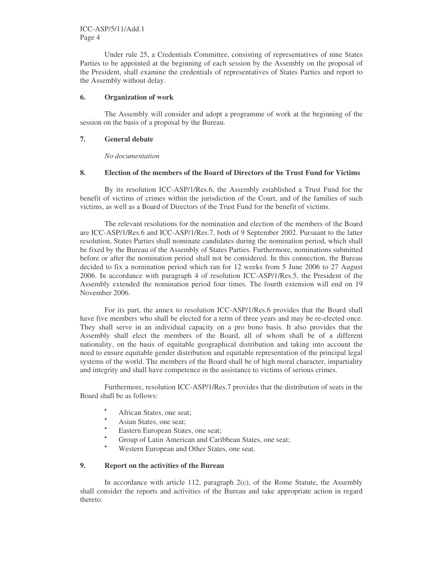Under rule 25, a Credentials Committee, consisting of representatives of nine States Parties to be appointed at the beginning of each session by the Assembly on the proposal of the President, shall examine the credentials of representatives of States Parties and report to the Assembly without delay.

# **6. Organization of work**

The Assembly will consider and adopt a programme of work at the beginning of the session on the basis of a proposal by the Bureau.

# **7. General debate**

*No documentation*

# **8. Election of the members of the Board of Directors of the Trust Fund for Victims**

By its resolution ICC-ASP/1/Res.6, the Assembly established a Trust Fund for the benefit of victims of crimes within the jurisdiction of the Court, and of the families of such victims, as well as a Board of Directors of the Trust Fund for the benefit of victims.

The relevant resolutions for the nomination and election of the members of the Board are ICC-ASP/1/Res.6 and ICC-ASP/1/Res.7, both of 9 September 2002. Pursuant to the latter resolution, States Parties shall nominate candidates during the nomination period, which shall be fixed by the Bureau of the Assembly of States Parties. Furthermore, nominations submitted before or after the nomination period shall not be considered. In this connection, the Bureau decided to fix a nomination period which ran for 12 weeks from 5 June 2006 to 27 August 2006. In accordance with paragraph 4 of resolution ICC-ASP/1/Res.5, the President of the Assembly extended the nomination period four times. The fourth extension will end on 19 November 2006.

For its part, the annex to resolution ICC-ASP/1/Res.6 provides that the Board shall have five members who shall be elected for a term of three years and may be re-elected once. They shall serve in an individual capacity on a pro bono basis. It also provides that the Assembly shall elect the members of the Board, all of whom shall be of a different nationality, on the basis of equitable geographical distribution and taking into account the need to ensure equitable gender distribution and equitable representation of the principal legal systems of the world. The members of the Board shall be of high moral character, impartiality and integrity and shall have competence in the assistance to victims of serious crimes.

Furthermore, resolution ICC-ASP/1/Res.7 provides that the distribution of seats in the Board shall be as follows:

- African States, one seat;
- Asian States, one seat;
- Eastern European States, one seat;
- Group of Latin American and Caribbean States, one seat;
- Western European and Other States, one seat.

# **9. Report on the activities of the Bureau**

In accordance with article 112, paragraph 2(c), of the Rome Statute, the Assembly shall consider the reports and activities of the Bureau and take appropriate action in regard thereto.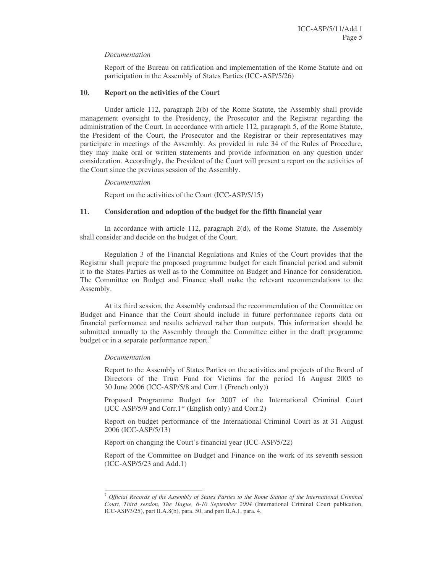# *Documentation*

Report of the Bureau on ratification and implementation of the Rome Statute and on participation in the Assembly of States Parties (ICC-ASP/5/26)

# **10. Report on the activities of the Court**

Under article 112, paragraph 2(b) of the Rome Statute, the Assembly shall provide management oversight to the Presidency, the Prosecutor and the Registrar regarding the administration of the Court. In accordance with article 112, paragraph 5, of the Rome Statute, the President of the Court, the Prosecutor and the Registrar or their representatives may participate in meetings of the Assembly. As provided in rule 34 of the Rules of Procedure, they may make oral or written statements and provide information on any question under consideration. Accordingly, the President of the Court will present a report on the activities of the Court since the previous session of the Assembly.

*Documentation*

Report on the activities of the Court (ICC-ASP/5/15)

# **11. Consideration and adoption of the budget for the fifth financial year**

In accordance with article 112, paragraph 2(d), of the Rome Statute, the Assembly shall consider and decide on the budget of the Court.

Regulation 3 of the Financial Regulations and Rules of the Court provides that the Registrar shall prepare the proposed programme budget for each financial period and submit it to the States Parties as well as to the Committee on Budget and Finance for consideration. The Committee on Budget and Finance shall make the relevant recommendations to the Assembly.

At its third session, the Assembly endorsed the recommendation of the Committee on Budget and Finance that the Court should include in future performance reports data on financial performance and results achieved rather than outputs. This information should be submitted annually to the Assembly through the Committee either in the draft programme budget or in a separate performance report.<sup>7</sup>

# *Documentation*

Report to the Assembly of States Parties on the activities and projects of the Board of Directors of the Trust Fund for Victims for the period 16 August 2005 to 30 June 2006 (ICC-ASP/5/8 and Corr.1 (French only))

Proposed Programme Budget for 2007 of the International Criminal Court (ICC-ASP/5/9 and Corr.1\* (English only) and Corr.2)

Report on budget performance of the International Criminal Court as at 31 August 2006 (ICC-ASP/5/13)

Report on changing the Court's financial year (ICC-ASP/5/22)

Report of the Committee on Budget and Finance on the work of its seventh session (ICC-ASP/5/23 and Add.1)

<sup>7</sup> *Official Records of the Assembly of States Parties to the Rome Statute of the International Criminal Court, Third session, The Hague, 6-10 September 2004* (International Criminal Court publication, ICC-ASP/ $3/25$ , part II.A. $8(b)$ , para. 50, and part II.A.1, para. 4.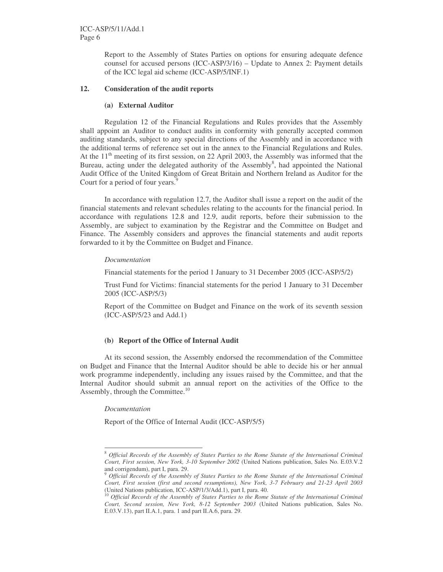Report to the Assembly of States Parties on options for ensuring adequate defence counsel for accused persons (ICC-ASP/3/16) – Update to Annex 2: Payment details of the ICC legal aid scheme (ICC-ASP/5/INF.1)

# **12. Consideration of the audit reports**

### **(a) External Auditor**

Regulation 12 of the Financial Regulations and Rules provides that the Assembly shall appoint an Auditor to conduct audits in conformity with generally accepted common auditing standards, subject to any special directions of the Assembly and in accordance with the additional terms of reference set out in the annex to the Financial Regulations and Rules. At the  $11<sup>th</sup>$  meeting of its first session, on 22 April 2003, the Assembly was informed that the Bureau, acting under the delegated authority of the Assembly<sup>8</sup>, had appointed the National Audit Office of the United Kingdom of Great Britain and Northern Ireland as Auditor for the Court for a period of four years.<sup>9</sup>

In accordance with regulation 12.7, the Auditor shall issue a report on the audit of the financial statements and relevant schedules relating to the accounts for the financial period. In accordance with regulations 12.8 and 12.9, audit reports, before their submission to the Assembly, are subject to examination by the Registrar and the Committee on Budget and Finance. The Assembly considers and approves the financial statements and audit reports forwarded to it by the Committee on Budget and Finance.

#### *Documentation*

Financial statements for the period 1 January to 31 December 2005 (ICC-ASP/5/2)

Trust Fund for Victims: financial statements for the period 1 January to 31 December 2005 (ICC-ASP/5/3)

Report of the Committee on Budget and Finance on the work of its seventh session (ICC-ASP/5/23 and Add.1)

# **(b) Report of the Office of Internal Audit**

At its second session, the Assembly endorsed the recommendation of the Committee on Budget and Finance that the Internal Auditor should be able to decide his or her annual work programme independently, including any issues raised by the Committee, and that the Internal Auditor should submit an annual report on the activities of the Office to the Assembly, through the Committee.<sup>10</sup>

#### *Documentation*

Report of the Office of Internal Audit (ICC-ASP/5/5)

<sup>8</sup> *Official Records of the Assembly of States Parties to the Rome Statute of the International Criminal Court, First session, New York, 3-10 September 2002* (United Nations publication, Sales No. E.03.V.2 and corrigendum), part I, para. 29.

<sup>9</sup> *Official Records of the Assembly of States Parties to the Rome Statute of the International Criminal Court, First session (first and second resumptions), New York, 3-7 February and 21-23 April 2003* (United Nations publication, ICC-ASP/1/3/Add.1), part I, para. 40.

<sup>10</sup> *Official Records of the Assembly of States Parties to the Rome Statute of the International Criminal Court, Second session, New York, 8-12 September 2003* (United Nations publication, Sales No. E.03.V.13), part II.A.1, para. 1 and part II.A.6, para. 29.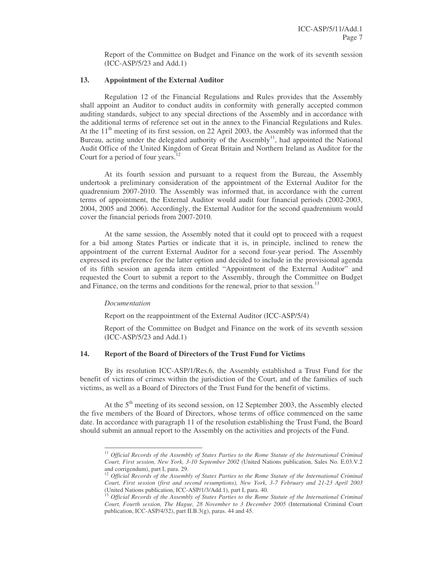Report of the Committee on Budget and Finance on the work of its seventh session (ICC-ASP/5/23 and Add.1)

# **13. Appointment of the External Auditor**

Regulation 12 of the Financial Regulations and Rules provides that the Assembly shall appoint an Auditor to conduct audits in conformity with generally accepted common auditing standards, subject to any special directions of the Assembly and in accordance with the additional terms of reference set out in the annex to the Financial Regulations and Rules. At the  $11<sup>th</sup>$  meeting of its first session, on 22 April 2003, the Assembly was informed that the Bureau, acting under the delegated authority of the Assembly<sup>11</sup>, had appointed the National Audit Office of the United Kingdom of Great Britain and Northern Ireland as Auditor for the Court for a period of four years.<sup>12</sup>

At its fourth session and pursuant to a request from the Bureau, the Assembly undertook a preliminary consideration of the appointment of the External Auditor for the quadrennium 2007-2010. The Assembly was informed that, in accordance with the current terms of appointment, the External Auditor would audit four financial periods (2002-2003, 2004, 2005 and 2006). Accordingly, the External Auditor for the second quadrennium would cover the financial periods from 2007-2010.

At the same session, the Assembly noted that it could opt to proceed with a request for a bid among States Parties or indicate that it is, in principle, inclined to renew the appointment of the current External Auditor for a second four-year period. The Assembly expressed its preference for the latter option and decided to include in the provisional agenda of its fifth session an agenda item entitled "Appointment of the External Auditor" and requested the Court to submit a report to the Assembly, through the Committee on Budget and Finance, on the terms and conditions for the renewal, prior to that session.<sup>13</sup>

#### *Documentation*

Report on the reappointment of the External Auditor (ICC-ASP/5/4)

Report of the Committee on Budget and Finance on the work of its seventh session (ICC-ASP/5/23 and Add.1)

# **14. Report of the Board of Directors of the Trust Fund for Victims**

By its resolution ICC-ASP/1/Res.6, the Assembly established a Trust Fund for the benefit of victims of crimes within the jurisdiction of the Court, and of the families of such victims, as well as a Board of Directors of the Trust Fund for the benefit of victims.

At the 5<sup>th</sup> meeting of its second session, on 12 September 2003, the Assembly elected the five members of the Board of Directors, whose terms of office commenced on the same date. In accordance with paragraph 11 of the resolution establishing the Trust Fund, the Board should submit an annual report to the Assembly on the activities and projects of the Fund.

<sup>11</sup> *Official Records of the Assembly of States Parties to the Rome Statute of the International Criminal Court, First session, New York, 3-10 September 2002* (United Nations publication, Sales No. E.03.V.2 and corrigendum), part I, para. 29.

<sup>12</sup> *Official Records of the Assembly of States Parties to the Rome Statute of the International Criminal Court, First session (first and second resumptions), New York, 3-7 February and 21-23 April 2003* (United Nations publication, ICC-ASP/1/3/Add.1), part I, para. 40.

<sup>13</sup> *Official Records of the Assembly of States Parties to the Rome Statute of the International Criminal Court, Fourth session, The Hague, 28 November to 3 December 2005* (International Criminal Court publication, ICC-ASP/4/32), part II.B.3(g), paras. 44 and 45.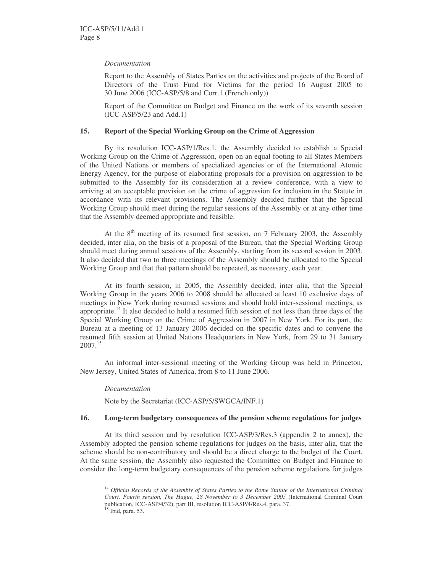# *Documentation*

Report to the Assembly of States Parties on the activities and projects of the Board of Directors of the Trust Fund for Victims for the period 16 August 2005 to 30 June 2006 (ICC-ASP/5/8 and Corr.1 (French only))

Report of the Committee on Budget and Finance on the work of its seventh session (ICC-ASP/5/23 and Add.1)

# **15. Report of the Special Working Group on the Crime of Aggression**

By its resolution ICC-ASP/1/Res.1, the Assembly decided to establish a Special Working Group on the Crime of Aggression, open on an equal footing to all States Members of the United Nations or members of specialized agencies or of the International Atomic Energy Agency, for the purpose of elaborating proposals for a provision on aggression to be submitted to the Assembly for its consideration at a review conference, with a view to arriving at an acceptable provision on the crime of aggression for inclusion in the Statute in accordance with its relevant provisions. The Assembly decided further that the Special Working Group should meet during the regular sessions of the Assembly or at any other time that the Assembly deemed appropriate and feasible.

At the  $8<sup>th</sup>$  meeting of its resumed first session, on 7 February 2003, the Assembly decided, inter alia, on the basis of a proposal of the Bureau, that the Special Working Group should meet during annual sessions of the Assembly, starting from its second session in 2003. It also decided that two to three meetings of the Assembly should be allocated to the Special Working Group and that that pattern should be repeated, as necessary, each year.

At its fourth session, in 2005, the Assembly decided, inter alia, that the Special Working Group in the years 2006 to 2008 should be allocated at least 10 exclusive days of meetings in New York during resumed sessions and should hold inter-sessional meetings, as appropriate.<sup>14</sup> It also decided to hold a resumed fifth session of not less than three days of the Special Working Group on the Crime of Aggression in 2007 in New York. For its part, the Bureau at a meeting of 13 January 2006 decided on the specific dates and to convene the resumed fifth session at United Nations Headquarters in New York, from 29 to 31 January 2007. 15

An informal inter-sessional meeting of the Working Group was held in Princeton, New Jersey, United States of America, from 8 to 11 June 2006.

# *Documentation*

Note by the Secretariat (ICC-ASP/5/SWGCA/INF.1)

# **16. Long-term budgetary consequences of the pension scheme regulations for judges**

At its third session and by resolution ICC-ASP/3/Res.3 (appendix 2 to annex), the Assembly adopted the pension scheme regulations for judges on the basis, inter alia, that the scheme should be non-contributory and should be a direct charge to the budget of the Court. At the same session, the Assembly also requested the Committee on Budget and Finance to consider the long-term budgetary consequences of the pension scheme regulations for judges

<sup>14</sup> *Official Records of the Assembly of States Parties to the Rome Statute of the International Criminal Court, Fourth session, The Hague, 28 November to 3 December 2005* (International Criminal Court publication, ICC-ASP/4/32), part III, resolution ICC-ASP/4/Res.4, para. 37.<br><sup>15</sup> Ibid, para. 53.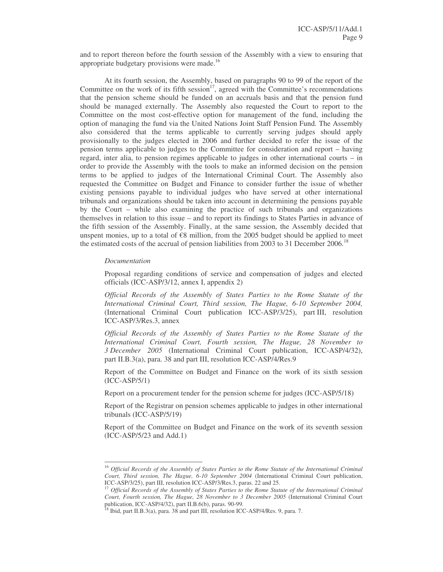and to report thereon before the fourth session of the Assembly with a view to ensuring that appropriate budgetary provisions were made.<sup>16</sup>

At its fourth session, the Assembly, based on paragraphs 90 to 99 of the report of the Committee on the work of its fifth session<sup>17</sup>, agreed with the Committee's recommendations that the pension scheme should be funded on an accruals basis and that the pension fund should be managed externally. The Assembly also requested the Court to report to the Committee on the most cost-effective option for management of the fund, including the option of managing the fund via the United Nations Joint Staff Pension Fund. The Assembly also considered that the terms applicable to currently serving judges should apply provisionally to the judges elected in 2006 and further decided to refer the issue of the pension terms applicable to judges to the Committee for consideration and report – having regard, inter alia, to pension regimes applicable to judges in other international courts – in order to provide the Assembly with the tools to make an informed decision on the pension terms to be applied to judges of the International Criminal Court. The Assembly also requested the Committee on Budget and Finance to consider further the issue of whether existing pensions payable to individual judges who have served at other international tribunals and organizations should be taken into account in determining the pensions payable by the Court – while also examining the practice of such tribunals and organizations themselves in relation to this issue – and to report its findings to States Parties in advance of the fifth session of the Assembly. Finally, at the same session, the Assembly decided that unspent monies, up to a total of  $\mathcal{E}8$  million, from the 2005 budget should be applied to meet the estimated costs of the accrual of pension liabilities from 2003 to 31 December 2006.<sup>18</sup>

#### *Documentation*

Proposal regarding conditions of service and compensation of judges and elected officials (ICC-ASP/3/12, annex I, appendix 2)

*Official Records of the Assembly of States Parties to the Rome Statute of the International Criminal Court, Third session, The Hague, 6-10 September 2004,* (International Criminal Court publication ICC-ASP/3/25), part III, resolution ICC-ASP/3/Res.3, annex

*Official Records of the Assembly of States Parties to the Rome Statute of the International Criminal Court, Fourth session, The Hague, 28 November to 3 December 2005* (International Criminal Court publication, ICC-ASP/4/32), part II.B.3(a), para. 38 and part III, resolution ICC-ASP/4/Res.9

Report of the Committee on Budget and Finance on the work of its sixth session (ICC-ASP/5/1)

Report on a procurement tender for the pension scheme for judges (ICC-ASP/5/18)

Report of the Registrar on pension schemes applicable to judges in other international tribunals (ICC-ASP/5/19)

Report of the Committee on Budget and Finance on the work of its seventh session (ICC-ASP/5/23 and Add.1)

<sup>16</sup> *Official Records of the Assembly of States Parties to the Rome Statute of the International Criminal Court, Third session, The Hague, 6-10 September 2004* (International Criminal Court publication, ICC-ASP/3/25), part III, resolution ICC-ASP/3/Res.3, paras. 22 and 25.

<sup>17</sup> *Official Records of the Assembly of States Parties to the Rome Statute of the International Criminal Court, Fourth session, The Hague, 28 November to 3 December 2005* (International Criminal Court

publication, ICC-ASP/4/32), part II.B.6(b), paras. 90-99.<br><sup>18</sup> Ibid, part II.B.3(a), para. 38 and part III, resolution ICC-ASP/4/Res. 9, para. 7.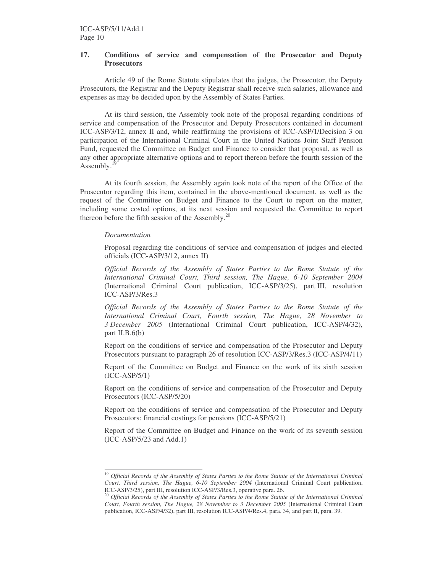# **17. Conditions of service and compensation of the Prosecutor and Deputy Prosecutors**

Article 49 of the Rome Statute stipulates that the judges, the Prosecutor, the Deputy Prosecutors, the Registrar and the Deputy Registrar shall receive such salaries, allowance and expenses as may be decided upon by the Assembly of States Parties.

At its third session, the Assembly took note of the proposal regarding conditions of service and compensation of the Prosecutor and Deputy Prosecutors contained in document ICC-ASP/3/12, annex II and, while reaffirming the provisions of ICC-ASP/1/Decision 3 on participation of the International Criminal Court in the United Nations Joint Staff Pension Fund, requested the Committee on Budget and Finance to consider that proposal, as well as any other appropriate alternative options and to report thereon before the fourth session of the Assembly.<sup>19</sup>

At its fourth session, the Assembly again took note of the report of the Office of the Prosecutor regarding this item, contained in the above-mentioned document, as well as the request of the Committee on Budget and Finance to the Court to report on the matter, including some costed options, at its next session and requested the Committee to report thereon before the fifth session of the Assembly.<sup>20</sup>

#### *Documentation*

Proposal regarding the conditions of service and compensation of judges and elected officials (ICC-ASP/3/12, annex II)

*Official Records of the Assembly of States Parties to the Rome Statute of the International Criminal Court, Third session, The Hague, 6-10 September 2004* (International Criminal Court publication, ICC-ASP/3/25), part III, resolution ICC-ASP/3/Res.3

*Official Records of the Assembly of States Parties to the Rome Statute of the International Criminal Court, Fourth session, The Hague, 28 November to 3 December 2005* (International Criminal Court publication, ICC-ASP/4/32), part II.B. $6(b)$ 

Report on the conditions of service and compensation of the Prosecutor and Deputy Prosecutors pursuant to paragraph 26 of resolution ICC-ASP/3/Res.3 (ICC-ASP/4/11)

Report of the Committee on Budget and Finance on the work of its sixth session (ICC-ASP/5/1)

Report on the conditions of service and compensation of the Prosecutor and Deputy Prosecutors (ICC-ASP/5/20)

Report on the conditions of service and compensation of the Prosecutor and Deputy Prosecutors: financial costings for pensions (ICC-ASP/5/21)

Report of the Committee on Budget and Finance on the work of its seventh session (ICC-ASP/5/23 and Add.1)

<sup>19</sup> *Official Records of the Assembly of States Parties to the Rome Statute of the International Criminal Court, Third session, The Hague, 6-10 September 2004* (International Criminal Court publication, ICC-ASP/3/25), part III, resolution ICC-ASP/3/Res.3, operative para. 26.

<sup>20</sup> *Official Records of the Assembly of States Parties to the Rome Statute of the International Criminal Court, Fourth session, The Hague, 28 November to 3 December 2005* (International Criminal Court publication, ICC-ASP/4/32), part III, resolution ICC-ASP/4/Res.4, para. 34, and part II, para. 39.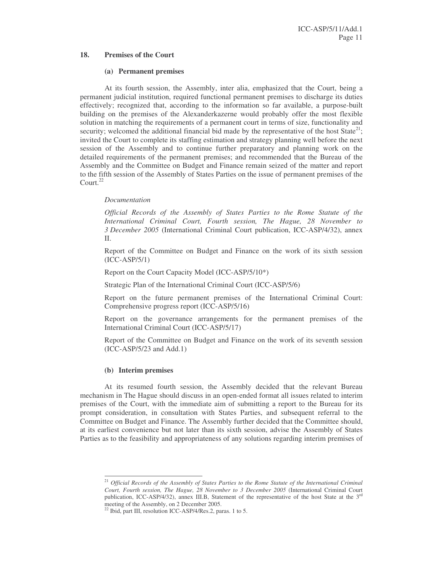# **18. Premises of the Court**

# **(a) Permanent premises**

At its fourth session, the Assembly, inter alia, emphasized that the Court, being a permanent judicial institution, required functional permanent premises to discharge its duties effectively; recognized that, according to the information so far available, a purpose-built building on the premises of the Alexanderkazerne would probably offer the most flexible solution in matching the requirements of a permanent court in terms of size, functionality and security; welcomed the additional financial bid made by the representative of the host  $State^{21}$ ; invited the Court to complete its staffing estimation and strategy planning well before the next session of the Assembly and to continue further preparatory and planning work on the detailed requirements of the permanent premises; and recommended that the Bureau of the Assembly and the Committee on Budget and Finance remain seized of the matter and report to the fifth session of the Assembly of States Parties on the issue of permanent premises of the Court. 22

# *Documentation*

*Official Records of the Assembly of States Parties to the Rome Statute of the International Criminal Court, Fourth session, The Hague, 28 November to 3 December 2005* (International Criminal Court publication, ICC-ASP/4/32), annex II.

Report of the Committee on Budget and Finance on the work of its sixth session (ICC-ASP/5/1)

Report on the Court Capacity Model (ICC-ASP/5/10\*)

Strategic Plan of the International Criminal Court (ICC-ASP/5/6)

Report on the future permanent premises of the International Criminal Court: Comprehensive progress report (ICC-ASP/5/16)

Report on the governance arrangements for the permanent premises of the International Criminal Court (ICC-ASP/5/17)

Report of the Committee on Budget and Finance on the work of its seventh session (ICC-ASP/5/23 and Add.1)

# **(b) Interim premises**

At its resumed fourth session, the Assembly decided that the relevant Bureau mechanism in The Hague should discuss in an open-ended format all issues related to interim premises of the Court, with the immediate aim of submitting a report to the Bureau for its prompt consideration, in consultation with States Parties, and subsequent referral to the Committee on Budget and Finance. The Assembly further decided that the Committee should, at its earliest convenience but not later than its sixth session, advise the Assembly of States Parties as to the feasibility and appropriateness of any solutions regarding interim premises of

<sup>21</sup> *Official Records of the Assembly of States Parties to the Rome Statute of the International Criminal Court, Fourth session, The Hague, 28 November to 3 December 2005* (International Criminal Court publication, ICC-ASP/4/32), annex III.B, Statement of the representative of the host State at the  $3<sup>rd</sup>$ 

meeting of the Assembly, on 2 December 2005.<br><sup>22</sup> Ibid, part III, resolution ICC-ASP/4/Res.2, paras. 1 to 5.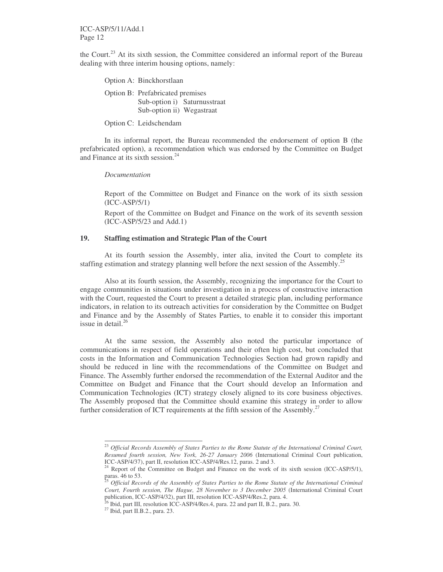ICC-ASP/5/11/Add.1 Page 12

the Court.<sup>23</sup> At its sixth session, the Committee considered an informal report of the Bureau dealing with three interim housing options, namely:

| Option A: Binckhorstlaan                                      |                              |
|---------------------------------------------------------------|------------------------------|
| Option B: Prefabricated premises<br>Sub-option ii) Wegastraat | Sub-option i) Saturnusstraat |
|                                                               |                              |

Option C: Leidschendam

In its informal report, the Bureau recommended the endorsement of option B (the prefabricated option), a recommendation which was endorsed by the Committee on Budget and Finance at its sixth session. 24

#### *Documentation*

Report of the Committee on Budget and Finance on the work of its sixth session (ICC-ASP/5/1)

Report of the Committee on Budget and Finance on the work of its seventh session (ICC-ASP/5/23 and Add.1)

# **19. Staffing estimation and Strategic Plan of the Court**

At its fourth session the Assembly, inter alia, invited the Court to complete its staffing estimation and strategy planning well before the next session of the Assembly.<sup>25</sup>

Also at its fourth session, the Assembly, recognizing the importance for the Court to engage communities in situations under investigation in a process of constructive interaction with the Court, requested the Court to present a detailed strategic plan, including performance indicators, in relation to its outreach activities for consideration by the Committee on Budget and Finance and by the Assembly of States Parties, to enable it to consider this important issue in detail. 26

At the same session, the Assembly also noted the particular importance of communications in respect of field operations and their often high cost, but concluded that costs in the Information and Communication Technologies Section had grown rapidly and should be reduced in line with the recommendations of the Committee on Budget and Finance. The Assembly further endorsed the recommendation of the External Auditor and the Committee on Budget and Finance that the Court should develop an Information and Communication Technologies (ICT) strategy closely aligned to its core business objectives. The Assembly proposed that the Committee should examine this strategy in order to allow further consideration of ICT requirements at the fifth session of the Assembly.<sup>27</sup>

<sup>23</sup> *Official Records Assembly of States Parties to the Rome Statute of the International Criminal Court, Resumed fourth session, New York, 26-27 January 2006* (International Criminal Court publication, ICC-ASP/4/37), part II, resolution ICC-ASP/4/Res.12, paras. 2 and 3.

 $24$  Report of the Committee on Budget and Finance on the work of its sixth session (ICC-ASP/5/1), paras. 46 to 53.

<sup>25</sup> *Official Records of the Assembly of States Parties to the Rome Statute of the International Criminal Court, Fourth session, The Hague, 28 November to 3 December 2005* (International Criminal Court publication, ICC-ASP/4/32), part III, resolution ICC-ASP/4/Res.2, para. 4.<br><sup>26</sup> Ibid. part III, resolution ICC, ASP/4/Res.4, para. 22 and part II, R.2, para.

Ibid, part III, resolution ICC-ASP/4/Res.4, para. 22 and part II, B.2., para. 30.

<sup>&</sup>lt;sup>27</sup> Ibid, part II.B.2., para. 23.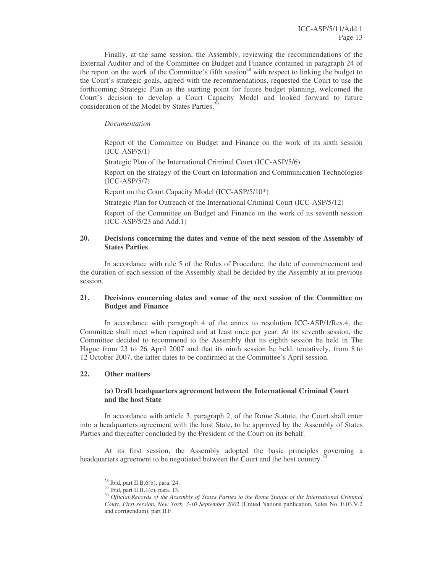Finally, at the same session, the Assembly, reviewing the recommendations of the External Auditor and of the Committee on Budget and Finance contained in paragraph 24 of the report on the work of the Committee's fifth session<sup>28</sup> with respect to linking the budget to the Court's strategic goals, agreed with the recommendations, requested the Court to use the forthcoming Strategic Plan as the starting point for future budget planning, welcomed the Court's decision to develop a Court Capacity Model and looked forward to future consideration of the Model by States Parties.<sup>29</sup>

# *Documentation*

Report of the Committee on Budget and Finance on the work of its sixth session (ICC-ASP/5/1)

Strategic Plan of the International Criminal Court (ICC-ASP/5/6)

Report on the strategy of the Court on Information and Communication Technologies (ICC-ASP/5/7)

Report on the Court Capacity Model (ICC-ASP/5/10\*)

Strategic Plan for Outreach of the International Criminal Court (ICC-ASP/5/12)

Report of the Committee on Budget and Finance on the work of its seventh session (ICC-ASP/5/23 and Add.1)

# **20. Decisions concerning the dates and venue of the next session of the Assembly of States Parties**

In accordance with rule 5 of the Rules of Procedure, the date of commencement and the duration of each session of the Assembly shall be decided by the Assembly at its previous session.

# **21. Decisions concerning dates and venue of the next session of the Committee on Budget and Finance**

In accordance with paragraph 4 of the annex to resolution ICC-ASP/1/Res.4, the Committee shall meet when required and at least once per year. At its seventh session, the Committee decided to recommend to the Assembly that its eighth session be held in The Hague from 23 to 26 April 2007 and that its ninth session be held, tentatively, from 8 to 12 October 2007, the latter dates to be confirmed at the Committee's April session.

# **22. Other matters**

# **(a) Draft headquarters agreement between the International Criminal Court and the host State**

In accordance with article 3, paragraph 2, of the Rome Statute, the Court shall enter into a headquarters agreement with the host State, to be approved by the Assembly of States Parties and thereafter concluded by the President of the Court on its behalf.

At its first session, the Assembly adopted the basic principles governing a headquarters agreement to be negotiated between the Court and the host country.<sup>30</sup>

 $28$  Ibid, part II.B. $6(b)$ , para. 24.

<sup>&</sup>lt;sup>29</sup> Ibid, part II.B.1(c), para. 13.

<sup>30</sup> *Official Records of the Assembly of States Parties to the Rome Statute of the International Criminal Court, First session, New York, 3-10 September 2002* (United Nations publication, Sales No. E.03.V.2 and corrigendum), part II.F.